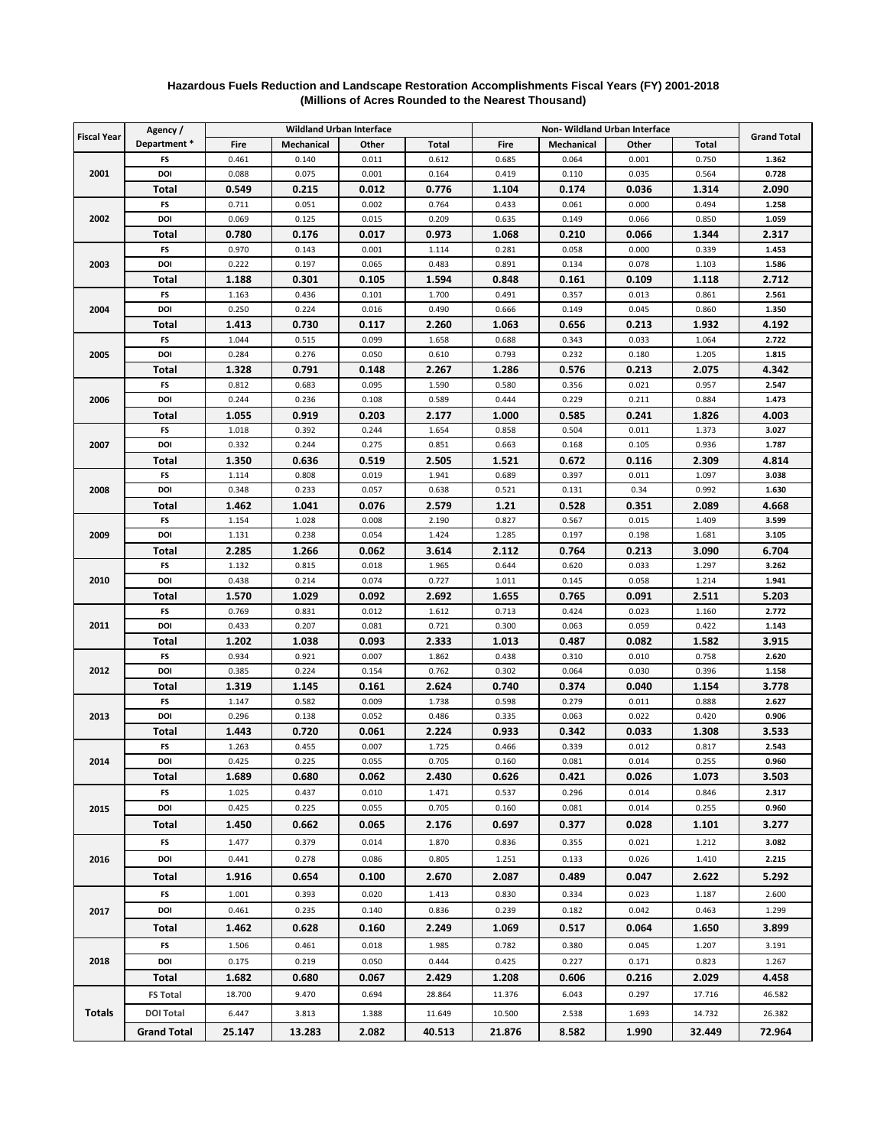|                    | Agency /           | <b>Wildland Urban Interface</b> |                |                |                | Non-Wildland Urban Interface |                   |                |                |                    |
|--------------------|--------------------|---------------------------------|----------------|----------------|----------------|------------------------------|-------------------|----------------|----------------|--------------------|
| <b>Fiscal Year</b> | Department*        | Fire                            | Mechanical     | Other          | Total          | Fire                         | <b>Mechanical</b> | Other          | Total          | <b>Grand Total</b> |
| 2001               | FS                 | 0.461                           | 0.140          | 0.011          | 0.612          | 0.685                        | 0.064             | 0.001          | 0.750          | 1.362              |
|                    | DOI                | 0.088                           | 0.075          | 0.001          | 0.164          | 0.419                        | 0.110             | 0.035          | 0.564          | 0.728              |
|                    | Total              | 0.549                           | 0.215          | 0.012          | 0.776          | 1.104                        | 0.174             | 0.036          | 1.314          | 2.090              |
| 2002               | FS                 | 0.711                           | 0.051          | 0.002          | 0.764          | 0.433                        | 0.061             | 0.000          | 0.494          | 1.258              |
|                    | DOI                | 0.069                           | 0.125          | 0.015          | 0.209          | 0.635                        | 0.149             | 0.066          | 0.850          | 1.059              |
|                    | Total              | 0.780                           | 0.176          | 0.017          | 0.973          | 1.068                        | 0.210             | 0.066          | 1.344          | 2.317              |
| 2003               | FS                 | 0.970                           | 0.143          | 0.001          | 1.114          | 0.281                        | 0.058             | 0.000          | 0.339          | 1.453              |
|                    | DOI                | 0.222                           | 0.197          | 0.065          | 0.483          | 0.891                        | 0.134             | 0.078          | 1.103          | 1.586              |
|                    | Total              | 1.188                           | 0.301          | 0.105          | 1.594          | 0.848                        | 0.161             | 0.109          | 1.118          | 2.712              |
| 2004               | FS                 | 1.163                           | 0.436          | 0.101          | 1.700          | 0.491                        | 0.357             | 0.013          | 0.861          | 2.561              |
|                    | DOI                | 0.250                           | 0.224          | 0.016          | 0.490          | 0.666                        | 0.149             | 0.045          | 0.860          | 1.350              |
|                    | Total              | 1.413                           | 0.730          | 0.117          | 2.260          | 1.063                        | 0.656             | 0.213          | 1.932          | 4.192              |
| 2005               | FS                 | 1.044                           | 0.515          | 0.099          | 1.658          | 0.688                        | 0.343             | 0.033          | 1.064          | 2.722              |
|                    | DOI                | 0.284                           | 0.276          | 0.050          | 0.610          | 0.793                        | 0.232             | 0.180          | 1.205          | 1.815              |
|                    | Total              | 1.328                           | 0.791          | 0.148          | 2.267          | 1.286                        | 0.576             | 0.213          | 2.075          | 4.342              |
| 2006               | FS                 | 0.812                           | 0.683          | 0.095          | 1.590          | 0.580                        | 0.356             | 0.021          | 0.957          | 2.547              |
|                    | DOI                | 0.244                           | 0.236          | 0.108          | 0.589          | 0.444                        | 0.229             | 0.211          | 0.884          | 1.473              |
|                    | Total              | 1.055                           | 0.919          | 0.203          | 2.177          | 1.000                        | 0.585             | 0.241          | 1.826          | 4.003              |
| 2007               | FS                 | 1.018                           | 0.392          | 0.244          | 1.654          | 0.858                        | 0.504             | 0.011          | 1.373          | 3.027              |
|                    | DOI                | 0.332                           | 0.244          | 0.275          | 0.851          | 0.663                        | 0.168             | 0.105          | 0.936          | 1.787              |
|                    | Total              | 1.350                           | 0.636          | 0.519          | 2.505          | 1.521                        | 0.672             | 0.116          | 2.309          | 4.814              |
| 2008               | FS                 | 1.114                           | 0.808          | 0.019          | 1.941          | 0.689                        | 0.397             | 0.011          | 1.097          | 3.038              |
|                    | DOI                | 0.348                           | 0.233          | 0.057          | 0.638          | 0.521                        | 0.131             | 0.34           | 0.992          | 1.630              |
|                    | Total              | 1.462                           | 1.041          | 0.076          | 2.579          | 1.21                         | 0.528             | 0.351          | 2.089          | 4.668              |
| 2009               | FS                 | 1.154                           | 1.028          | 0.008          | 2.190          | 0.827                        | 0.567             | 0.015          | 1.409          | 3.599              |
|                    | DOI                | 1.131                           | 0.238          | 0.054          | 1.424          | 1.285                        | 0.197             | 0.198          | 1.681          | 3.105              |
|                    | Total              | 2.285                           | 1.266          | 0.062          | 3.614          | 2.112                        | 0.764             | 0.213          | 3.090          | 6.704              |
| 2010               | FS                 | 1.132                           | 0.815          | 0.018          | 1.965          | 0.644                        | 0.620             | 0.033          | 1.297          | 3.262              |
|                    | DOI                | 0.438                           | 0.214          | 0.074          | 0.727          | 1.011                        | 0.145             | 0.058          | 1.214          | 1.941              |
| 2011               | Total<br>FS        | 1.570<br>0.769                  | 1.029<br>0.831 | 0.092<br>0.012 | 2.692<br>1.612 | 1.655<br>0.713               | 0.765<br>0.424    | 0.091<br>0.023 | 2.511<br>1.160 | 5.203<br>2.772     |
|                    | DOI                | 0.433                           | 0.207          | 0.081          | 0.721          | 0.300                        | 0.063             | 0.059          | 0.422          | 1.143              |
|                    | Total              | 1.202                           | 1.038          | 0.093          | 2.333          | 1.013                        | 0.487             | 0.082          | 1.582          | 3.915              |
| 2012               | FS                 | 0.934                           | 0.921          | 0.007          | 1.862          | 0.438                        | 0.310             | 0.010          | 0.758          | 2.620              |
|                    | DOI                | 0.385                           | 0.224          | 0.154          | 0.762          | 0.302                        | 0.064             | 0.030          | 0.396          | 1.158              |
|                    | Total              | 1.319                           | 1.145          | 0.161          | 2.624          | 0.740                        | 0.374             | 0.040          | 1.154          | 3.778              |
| 2013               | FS                 | 1.147                           | 0.582          | 0.009          | 1.738          | 0.598                        | 0.279             | 0.011          | 0.888          | 2.627              |
|                    | DOI                | 0.296                           | 0.138          | 0.052          | 0.486          | 0.335                        | 0.063             | 0.022          | 0.420          | 0.906              |
|                    | Total              | 1.443                           | 0.720          | 0.061          | 2.224          | 0.933                        | 0.342             | 0.033          | 1.308          | 3.533              |
| 2014               | FS                 | 1.263                           | 0.455          | 0.007          | 1.725          | 0.466                        | 0.339             | 0.012          | 0.817          | 2.543              |
|                    | DOI                | 0.425                           | 0.225          | 0.055          | 0.705          | 0.160                        | 0.081             | 0.014          | 0.255          | 0.960              |
|                    | Total              | 1.689                           | 0.680          | 0.062          | 2.430          | 0.626                        | 0.421             | 0.026          | 1.073          | 3.503              |
| 2015               | FS                 | 1.025                           | 0.437          | 0.010          | 1.471          | 0.537                        | 0.296             | 0.014          | 0.846          | 2.317              |
|                    | DOI                | 0.425                           | 0.225          | 0.055          | 0.705          | 0.160                        | 0.081             | 0.014          | 0.255          | 0.960              |
|                    | Total              | 1.450                           | 0.662          | 0.065          | 2.176          | 0.697                        | 0.377             | 0.028          | 1.101          | 3.277              |
| 2016               | FS                 | 1.477                           | 0.379          | 0.014          | 1.870          | 0.836                        | 0.355             | 0.021          | 1.212          | 3.082              |
|                    | DOI                | 0.441                           | 0.278          | 0.086          | 0.805          | 1.251                        | 0.133             | 0.026          | 1.410          | 2.215              |
|                    | Total              | 1.916                           | 0.654          | 0.100          | 2.670          | 2.087                        | 0.489             | 0.047          | 2.622          | 5.292              |
| 2017               | FS                 | 1.001                           | 0.393          | 0.020          | 1.413          | 0.830                        | 0.334             | 0.023          | 1.187          | 2.600              |
|                    | DOI                | 0.461                           | 0.235          | 0.140          | 0.836          | 0.239                        | 0.182             | 0.042          | 0.463          | 1.299              |
|                    | Total              | 1.462                           | 0.628          | 0.160          | 2.249          | 1.069                        | 0.517             | 0.064          | 1.650          | 3.899              |
| 2018               |                    |                                 |                |                |                |                              |                   |                |                |                    |
|                    | FS<br>DOI          | 1.506<br>0.175                  | 0.461<br>0.219 | 0.018<br>0.050 | 1.985<br>0.444 | 0.782<br>0.425               | 0.380<br>0.227    | 0.045<br>0.171 | 1.207<br>0.823 | 3.191<br>1.267     |
|                    |                    |                                 |                |                |                |                              |                   |                |                |                    |
|                    | Total              | 1.682                           | 0.680          | 0.067          | 2.429          | 1.208                        | 0.606             | 0.216          | 2.029          | 4.458              |
| <b>Totals</b>      | <b>FS Total</b>    | 18.700                          | 9.470          | 0.694          | 28.864         | 11.376                       | 6.043             | 0.297          | 17.716         | 46.582             |
|                    | <b>DOI Total</b>   | 6.447                           | 3.813          | 1.388          | 11.649         | 10.500                       | 2.538             | 1.693          | 14.732         | 26.382             |
|                    | <b>Grand Total</b> | 25.147                          | 13.283         | 2.082          | 40.513         | 21.876                       | 8.582             | 1.990          | 32.449         | 72.964             |

## **(Millions of Acres Rounded to the Nearest Thousand) Hazardous Fuels Reduction and Landscape Restoration Accomplishments Fiscal Years (FY) 2001-2018**